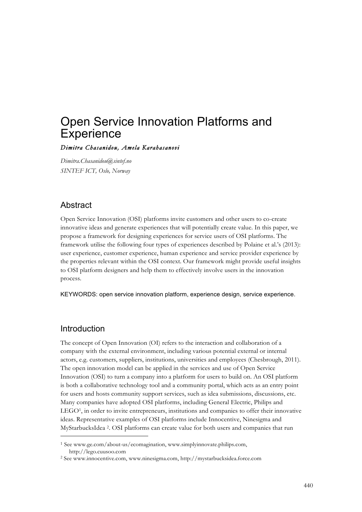# Open Service Innovation Platforms and **Experience**

#### *Dimitra Chasanidou, Amela Karahasanovi*

*Dimitra.Chasanidou@sintef.no SINTEF ICT, Oslo, Norway*

## Abstract

Open Service Innovation (OSI) platforms invite customers and other users to co-create innovative ideas and generate experiences that will potentially create value. In this paper, we propose a framework for designing experiences for service users of OSI platforms. The framework utilise the following four types of experiences described by Polaine et al.'s (2013): user experience, customer experience, human experience and service provider experience by the properties relevant within the OSI context. Our framework might provide useful insights to OSI platform designers and help them to effectively involve users in the innovation process.

KEYWORDS: open service innovation platform, experience design, service experience.

## Introduction

 $\ddot{ }$ 

The concept of Open Innovation (OI) refers to the interaction and collaboration of a company with the external environment, including various potential external or internal actors, e.g. customers, suppliers, institutions, universities and employees (Chesbrough, 2011). The open innovation model can be applied in the services and use of Open Service Innovation (OSI) to turn a company into a platform for users to build on. An OSI platform is both a collaborative technology tool and a community portal, which acts as an entry point for users and hosts community support services, such as idea submissions, discussions, etc. Many companies have adopted OSI platforms, including General Electric, Philips and LEGO1, in order to invite entrepreneurs, institutions and companies to offer their innovative ideas. Representative examples of OSI platforms include Innocentive, Ninesigma and MyStarbucksIdea 2. OSI platforms can create value for both users and companies that run

<sup>1</sup> See www.ge.com/about-us/ecomagination, www.simplyinnovate.philips.com, http://lego.cuusoo.com

<sup>2</sup> See www.innocentive.com, www.ninesigma.com, http://mystarbucksidea.force.com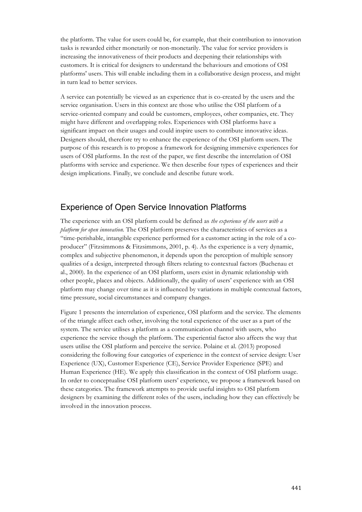the platform. The value for users could be, for example, that their contribution to innovation tasks is rewarded either monetarily or non-monetarily. The value for service providers is increasing the innovativeness of their products and deepening their relationships with customers. It is critical for designers to understand the behaviours and emotions of OSI platforms' users. This will enable including them in a collaborative design process, and might in turn lead to better services.

A service can potentially be viewed as an experience that is co-created by the users and the service organisation. Users in this context are those who utilise the OSI platform of a service-oriented company and could be customers, employees, other companies, etc. They might have different and overlapping roles. Experiences with OSI platforms have a significant impact on their usages and could inspire users to contribute innovative ideas. Designers should, therefore try to enhance the experience of the OSI platform users. The purpose of this research is to propose a framework for designing immersive experiences for users of OSI platforms. In the rest of the paper, we first describe the interrelation of OSI platforms with service and experience. We then describe four types of experiences and their design implications. Finally, we conclude and describe future work.

# Experience of Open Service Innovation Platforms

The experience with an OSI platform could be defined as *the experience of the users with a platform for open innovation.* The OSI platform preserves the characteristics of services as a "time-perishable, intangible experience performed for a customer acting in the role of a coproducer" (Fitzsimmons & Fitzsimmons, 2001, p. 4). As the experience is a very dynamic, complex and subjective phenomenon, it depends upon the perception of multiple sensory qualities of a design, interpreted through filters relating to contextual factors (Buchenau et al., 2000). In the experience of an OSI platform, users exist in dynamic relationship with other people, places and objects. Additionally, the quality of users' experience with an OSI platform may change over time as it is influenced by variations in multiple contextual factors, time pressure, social circumstances and company changes.

Figure 1 presents the interrelation of experience, OSI platform and the service. The elements of the triangle affect each other, involving the total experience of the user as a part of the system. The service utilises a platform as a communication channel with users, who experience the service though the platform. The experiential factor also affects the way that users utilise the OSI platform and perceive the service. Polaine et al. (2013) proposed considering the following four categories of experience in the context of service design: User Experience (UX), Customer Experience (CE), Service Provider Experience (SPE) and Human Experience (HE). We apply this classification in the context of OSI platform usage. In order to conceptualise OSI platform users' experience, we propose a framework based on these categories. The framework attempts to provide useful insights to OSI platform designers by examining the different roles of the users, including how they can effectively be involved in the innovation process.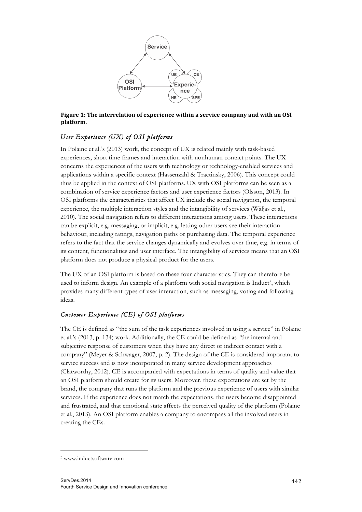

#### Figure 1: The interrelation of experience within a service company and with an OSI **platform.**

## *User Experience (UX) of OSI platforms*

In Polaine et al.'s (2013) work, the concept of UX is related mainly with task-based experiences, short time frames and interaction with nonhuman contact points. The UX concerns the experiences of the users with technology or technology-enabled services and applications within a specific context (Hassenzahl & Tractinsky, 2006). This concept could thus be applied in the context of OSI platforms. UX with OSI platforms can be seen as a combination of service experience factors and user experience factors (Olsson, 2013). In OSI platforms the characteristics that affect UX include the social navigation, the temporal experience, the multiple interaction styles and the intangibility of services (Wäljas et al., 2010). The social navigation refers to different interactions among users. These interactions can be explicit, e.g. messaging, or implicit, e.g. letting other users see their interaction behaviour, including ratings, navigation paths or purchasing data. The temporal experience refers to the fact that the service changes dynamically and evolves over time, e.g. in terms of its content, functionalities and user interface. The intangibility of services means that an OSI platform does not produce a physical product for the users.

The UX of an OSI platform is based on these four characteristics. They can therefore be used to inform design. An example of a platform with social navigation is Induct<sup>3</sup>, which provides many different types of user interaction, such as messaging, voting and following ideas.

## *Customer Experience (CE) of OSI platforms*

The CE is defined as "the sum of the task experiences involved in using a service" in Polaine et al.'s (2013, p. 134) work. Additionally, the CE could be defined as *"*the internal and subjective response of customers when they have any direct or indirect contact with a company" (Meyer & Schwager, 2007, p. 2). The design of the CE is considered important to service success and is now incorporated in many service development approaches (Clatworthy, 2012). CE is accompanied with expectations in terms of quality and value that an OSI platform should create for its users. Moreover, these expectations are set by the brand, the company that runs the platform and the previous experience of users with similar services. If the experience does not match the expectations, the users become disappointed and frustrated, and that emotional state affects the perceived quality of the platform (Polaine et al., 2013). An OSI platform enables a company to encompass all the involved users in creating the CEs.

1

<sup>3</sup> www.inductsoftware.com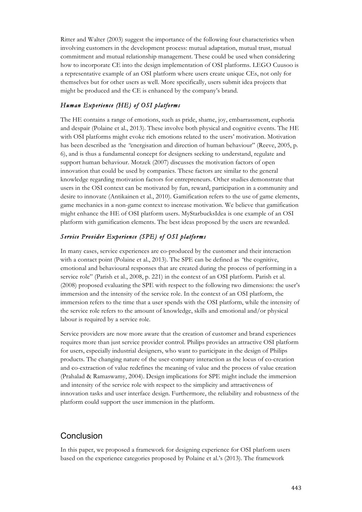Ritter and Walter (2003) suggest the importance of the following four characteristics when involving customers in the development process: mutual adaptation, mutual trust, mutual commitment and mutual relationship management. These could be used when considering how to incorporate CE into the design implementation of OSI platforms. LEGO Cuusoo is a representative example of an OSI platform where users create unique CEs, not only for themselves but for other users as well. More specifically, users submit idea projects that might be produced and the CE is enhanced by the company's brand.

#### *Human Experience (HE) of OSI platforms*

The HE contains a range of emotions, such as pride, shame, joy, embarrassment, euphoria and despair (Polaine et al., 2013). These involve both physical and cognitive events. The HE with OSI platforms might evoke rich emotions related to the users' motivation. Motivation has been described as the *"*energisation and direction of human behaviour" (Reeve, 2005, p. 6), and is thus a fundamental concept for designers seeking to understand, regulate and support human behaviour. Motzek (2007) discusses the motivation factors of open innovation that could be used by companies. These factors are similar to the general knowledge regarding motivation factors for entrepreneurs. Other studies demonstrate that users in the OSI context can be motivated by fun, reward, participation in a community and desire to innovate (Antikainen et al., 2010). Gamification refers to the use of game elements, game mechanics in a non-game context to increase motivation. We believe that gamification might enhance the HE of OSI platform users. MyStarbucksIdea is one example of an OSI platform with gamification elements. The best ideas proposed by the users are rewarded.

#### *Service Provider Experience (SPE) of OSI platforms*

In many cases, service experiences are co-produced by the customer and their interaction with a contact point (Polaine et al., 2013). The SPE can be defined as *"*the cognitive, emotional and behavioural responses that are created during the process of performing in a service role" (Parish et al., 2008, p. 221) in the context of an OSI platform. Parish et al. (2008) proposed evaluating the SPE with respect to the following two dimensions: the user's immersion and the intensity of the service role. In the context of an OSI platform, the immersion refers to the time that a user spends with the OSI platform, while the intensity of the service role refers to the amount of knowledge, skills and emotional and/or physical labour is required by a service role.

Service providers are now more aware that the creation of customer and brand experiences requires more than just service provider control. Philips provides an attractive OSI platform for users, especially industrial designers, who want to participate in the design of Philips products. The changing nature of the user-company interaction as the locus of co-creation and co-extraction of value redefines the meaning of value and the process of value creation (Prahalad & Ramaswamy, 2004). Design implications for SPE might include the immersion and intensity of the service role with respect to the simplicity and attractiveness of innovation tasks and user interface design. Furthermore, the reliability and robustness of the platform could support the user immersion in the platform.

# Conclusion

In this paper, we proposed a framework for designing experience for OSI platform users based on the experience categories proposed by Polaine et al.'s (2013). The framework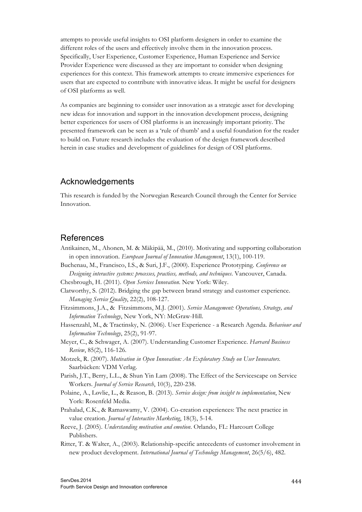attempts to provide useful insights to OSI platform designers in order to examine the different roles of the users and effectively involve them in the innovation process. Specifically, User Experience, Customer Experience, Human Experience and Service Provider Experience were discussed as they are important to consider when designing experiences for this context. This framework attempts to create immersive experiences for users that are expected to contribute with innovative ideas. It might be useful for designers of OSI platforms as well.

As companies are beginning to consider user innovation as a strategic asset for developing new ideas for innovation and support in the innovation development process, designing better experiences for users of OSI platforms is an increasingly important priority. The presented framework can be seen as a 'rule of thumb' and a useful foundation for the reader to build on. Future research includes the evaluation of the design framework described herein in case studies and development of guidelines for design of OSI platforms.

# Acknowledgements

This research is funded by the Norwegian Research Council through the Center for Service Innovation.

## References

- Antikainen, M., Ahonen, M. & Mäkipää, M., (2010). Motivating and supporting collaboration in open innovation. *European Journal of Innovation Management*, 13(1), 100-119.
- Buchenau, M., Francisco, I.S., & Suri, J.F., (2000). Experience Prototyping. *Conference on Designing interactive systems: processes, practices, methods, and techniques*. Vancouver, Canada.
- Chesbrough, H. (2011). *Open Services Innovation*. New York: Wiley.
- Clatworthy, S. (2012). Bridging the gap between brand strategy and customer experience. *Managing Service Quality*, 22(2), 108-127.
- Fitzsimmons, J.A., & Fitzsimmons, M.J. (2001). *Service Management: Operations, Strategy, and Information Technology*, New York, NY: McGraw-Hill.
- Hassenzahl, M., & Tractinsky, N. (2006). User Experience a Research Agenda. *Behaviour and Information Technology*, 25(2), 91-97.
- Meyer, C., & Schwager, A. (2007). Understanding Customer Experience. *Harvard Business Review*, 85(2), 116-126.
- Motzek, R. (2007). *Motivation in Open Innovation: An Exploratory Study on User Innovators*. Saarbücken: VDM Verlag.
- Parish, J.T., Berry, L.L., & Shun Yin Lam (2008). The Effect of the Servicescape on Service Workers. *Journal of Service Research*, 10(3), 220-238.
- Polaine, A., Løvlie, L., & Reason, B. (2013). *Service design: from insight to implementation*, New York: Rosenfeld Media.
- Prahalad, C.K., & Ramaswamy, V. (2004). Co-creation experiences: The next practice in value creation. *Journal of Interactive Marketing*, 18(3), 5-14.
- Reeve, J. (2005). *Understanding motivation and emotion*. Orlando, FL: Harcourt College Publishers.
- Ritter, T. & Walter, A., (2003). Relationship-specific antecedents of customer involvement in new product development. *International Journal of Technology Management*, 26(5/6), 482.